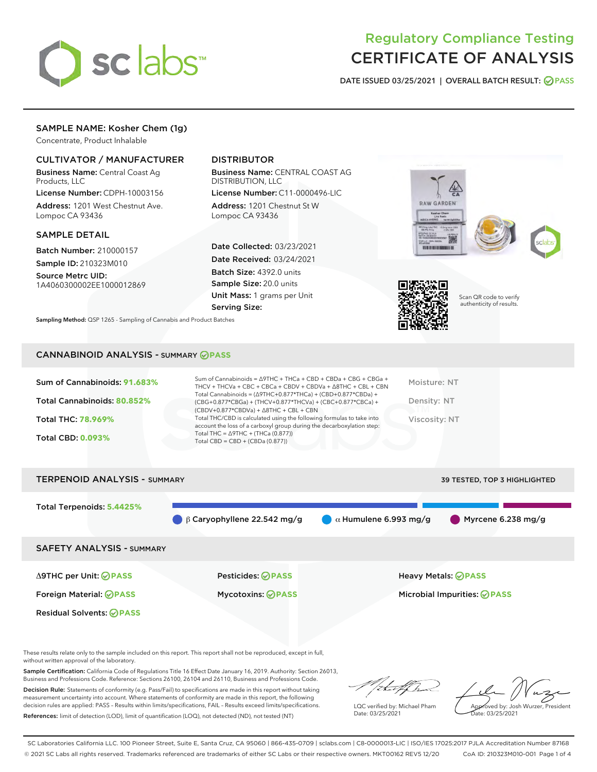

# Regulatory Compliance Testing CERTIFICATE OF ANALYSIS

DATE ISSUED 03/25/2021 | OVERALL BATCH RESULT: @ PASS

# SAMPLE NAME: Kosher Chem (1g)

Concentrate, Product Inhalable

## CULTIVATOR / MANUFACTURER

Business Name: Central Coast Ag Products, LLC

License Number: CDPH-10003156 Address: 1201 West Chestnut Ave. Lompoc CA 93436

#### SAMPLE DETAIL

Batch Number: 210000157 Sample ID: 210323M010

Source Metrc UID: 1A4060300002EE1000012869

# DISTRIBUTOR

Business Name: CENTRAL COAST AG DISTRIBUTION, LLC

License Number: C11-0000496-LIC Address: 1201 Chestnut St W Lompoc CA 93436

Date Collected: 03/23/2021 Date Received: 03/24/2021 Batch Size: 4392.0 units Sample Size: 20.0 units Unit Mass: 1 grams per Unit Serving Size:

Sampling Method: QSP 1265 - Sampling of Cannabis and Product Batches



Scan QR code to verify authenticity of results.

#### CANNABINOID ANALYSIS - SUMMARY **PASS**

| Sum of Cannabinoids: 91.683% | Sum of Cannabinoids = $\triangle$ 9THC + THCa + CBD + CBDa + CBG + CBGa +<br>THCV + THCVa + CBC + CBCa + CBDV + CBDVa + $\Delta$ 8THC + CBL + CBN                                    | Moisture: NT  |
|------------------------------|--------------------------------------------------------------------------------------------------------------------------------------------------------------------------------------|---------------|
| Total Cannabinoids: 80.852%  | Total Cannabinoids = $(\Delta$ 9THC+0.877*THCa) + (CBD+0.877*CBDa) +<br>(CBG+0.877*CBGa) + (THCV+0.877*THCVa) + (CBC+0.877*CBCa) +<br>$(CBDV+0.877*CBDVa) + \Delta 8THC + CBL + CBN$ | Density: NT   |
| <b>Total THC: 78.969%</b>    | Total THC/CBD is calculated using the following formulas to take into<br>account the loss of a carboxyl group during the decarboxylation step:                                       | Viscosity: NT |
| <b>Total CBD: 0.093%</b>     | Total THC = $\triangle$ 9THC + (THCa (0.877))<br>Total CBD = $CBD + (CBDa (0.877))$                                                                                                  |               |
|                              |                                                                                                                                                                                      |               |

# TERPENOID ANALYSIS - SUMMARY 39 TESTED, TOP 3 HIGHLIGHTED Total Terpenoids: **5.4425%** β Caryophyllene 22.542 mg/g  $\alpha$  Humulene 6.993 mg/g Myrcene 6.238 mg/g SAFETY ANALYSIS - SUMMARY Δ9THC per Unit: **PASS** Pesticides: **PASS** Heavy Metals: **PASS** Foreign Material: **PASS** Mycotoxins: **PASS** Microbial Impurities: **PASS** Residual Solvents: **PASS**

These results relate only to the sample included on this report. This report shall not be reproduced, except in full, without written approval of the laboratory.

Sample Certification: California Code of Regulations Title 16 Effect Date January 16, 2019. Authority: Section 26013, Business and Professions Code. Reference: Sections 26100, 26104 and 26110, Business and Professions Code.

Decision Rule: Statements of conformity (e.g. Pass/Fail) to specifications are made in this report without taking measurement uncertainty into account. Where statements of conformity are made in this report, the following decision rules are applied: PASS – Results within limits/specifications, FAIL – Results exceed limits/specifications. References: limit of detection (LOD), limit of quantification (LOQ), not detected (ND), not tested (NT)

that fCh

LQC verified by: Michael Pham Date: 03/25/2021

Approved by: Josh Wurzer, President ate: 03/25/2021

SC Laboratories California LLC. 100 Pioneer Street, Suite E, Santa Cruz, CA 95060 | 866-435-0709 | sclabs.com | C8-0000013-LIC | ISO/IES 17025:2017 PJLA Accreditation Number 87168 © 2021 SC Labs all rights reserved. Trademarks referenced are trademarks of either SC Labs or their respective owners. MKT00162 REV5 12/20 CoA ID: 210323M010-001 Page 1 of 4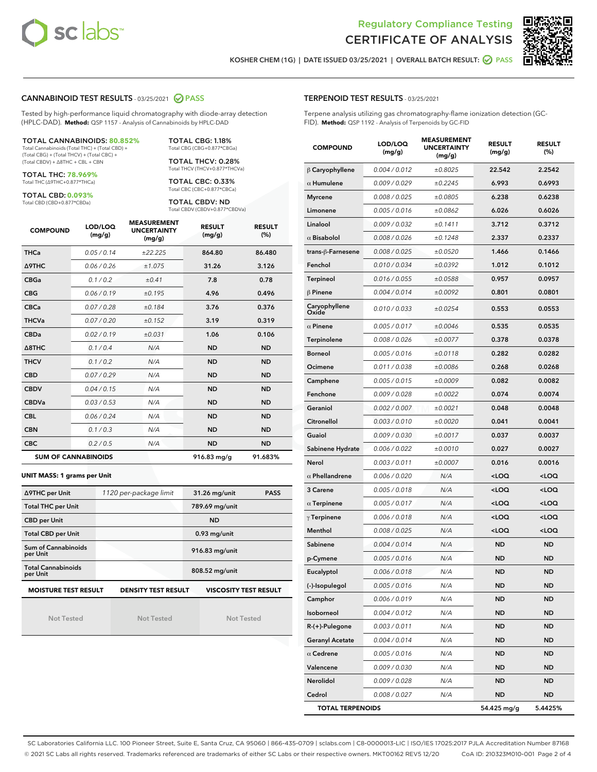



KOSHER CHEM (1G) | DATE ISSUED 03/25/2021 | OVERALL BATCH RESULT: @ PASS

#### CANNABINOID TEST RESULTS - 03/25/2021 @ PASS

Tested by high-performance liquid chromatography with diode-array detection (HPLC-DAD). **Method:** QSP 1157 - Analysis of Cannabinoids by HPLC-DAD

TOTAL CANNABINOIDS: **80.852%** Total Cannabinoids (Total THC) + (Total CBD) +

(Total CBG) + (Total THCV) + (Total CBC) + (Total CBDV) + ∆8THC + CBL + CBN

TOTAL THC: **78.969%** Total THC (∆9THC+0.877\*THCa)

TOTAL CBD: **0.093%**

Total CBD (CBD+0.877\*CBDa)

TOTAL CBG: 1.18% Total CBG (CBG+0.877\*CBGa)

TOTAL THCV: 0.28% Total THCV (THCV+0.877\*THCVa)

TOTAL CBC: 0.33% Total CBC (CBC+0.877\*CBCa)

TOTAL CBDV: ND Total CBDV (CBDV+0.877\*CBDVa)

| <b>COMPOUND</b>  | LOD/LOQ<br>(mg/g)          | <b>MEASUREMENT</b><br><b>UNCERTAINTY</b><br>(mg/g) | <b>RESULT</b><br>(mg/g) | <b>RESULT</b><br>(%) |
|------------------|----------------------------|----------------------------------------------------|-------------------------|----------------------|
| <b>THCa</b>      | 0.05/0.14                  | ±22.225                                            | 864.80                  | 86.480               |
| <b>A9THC</b>     | 0.06 / 0.26                | ±1.075                                             | 31.26                   | 3.126                |
| <b>CBGa</b>      | 0.1/0.2                    | ±0.41                                              | 7.8                     | 0.78                 |
| <b>CBG</b>       | 0.06/0.19                  | ±0.195                                             | 4.96                    | 0.496                |
| <b>CBCa</b>      | 0.07/0.28                  | ±0.184                                             | 3.76                    | 0.376                |
| <b>THCVa</b>     | 0.07/0.20                  | ±0.152                                             | 3.19                    | 0.319                |
| <b>CBDa</b>      | 0.02/0.19                  | ±0.031                                             | 1.06                    | 0.106                |
| $\triangle$ 8THC | 0.1/0.4                    | N/A                                                | <b>ND</b>               | <b>ND</b>            |
| <b>THCV</b>      | 0.1/0.2                    | N/A                                                | <b>ND</b>               | <b>ND</b>            |
| <b>CBD</b>       | 0.07/0.29                  | N/A                                                | <b>ND</b>               | <b>ND</b>            |
| <b>CBDV</b>      | 0.04 / 0.15                | N/A                                                | <b>ND</b>               | <b>ND</b>            |
| <b>CBDVa</b>     | 0.03/0.53                  | N/A                                                | <b>ND</b>               | <b>ND</b>            |
| <b>CBL</b>       | 0.06 / 0.24                | N/A                                                | <b>ND</b>               | <b>ND</b>            |
| <b>CBN</b>       | 0.1/0.3                    | N/A                                                | <b>ND</b>               | <b>ND</b>            |
| <b>CBC</b>       | 0.2 / 0.5                  | N/A                                                | <b>ND</b>               | <b>ND</b>            |
|                  | <b>SUM OF CANNABINOIDS</b> |                                                    | $916.83$ mg/g           | 91.683%              |

#### **UNIT MASS: 1 grams per Unit**

| ∆9THC per Unit                        | 1120 per-package limit                                                                    | 31.26 mg/unit<br><b>PASS</b> |  |  |  |  |
|---------------------------------------|-------------------------------------------------------------------------------------------|------------------------------|--|--|--|--|
| <b>Total THC per Unit</b>             |                                                                                           | 789.69 mg/unit               |  |  |  |  |
| <b>CBD per Unit</b>                   |                                                                                           | <b>ND</b>                    |  |  |  |  |
| <b>Total CBD per Unit</b>             |                                                                                           | $0.93$ mg/unit               |  |  |  |  |
| Sum of Cannabinoids<br>per Unit       |                                                                                           | 916.83 mg/unit               |  |  |  |  |
| <b>Total Cannabinoids</b><br>per Unit |                                                                                           | 808.52 mg/unit               |  |  |  |  |
|                                       | <b>MOISTURE TEST RESULT</b><br><b>DENSITY TEST RESULT</b><br><b>VISCOSITY TEST RESULT</b> |                              |  |  |  |  |

Not Tested

Not Tested

Not Tested

#### TERPENOID TEST RESULTS - 03/25/2021

Terpene analysis utilizing gas chromatography-flame ionization detection (GC-FID). **Method:** QSP 1192 - Analysis of Terpenoids by GC-FID

| <b>COMPOUND</b>         | LOD/LOQ<br>(mg/g) | <b>MEASUREMENT</b><br><b>UNCERTAINTY</b><br>(mg/g) | <b>RESULT</b><br>(mg/g)                         | <b>RESULT</b><br>(%) |
|-------------------------|-------------------|----------------------------------------------------|-------------------------------------------------|----------------------|
| $\beta$ Caryophyllene   | 0.004 / 0.012     | ±0.8025                                            | 22.542                                          | 2.2542               |
| $\alpha$ Humulene       | 0.009/0.029       | ±0.2245                                            | 6.993                                           | 0.6993               |
| <b>Myrcene</b>          | 0.008 / 0.025     | ±0.0805                                            | 6.238                                           | 0.6238               |
| Limonene                | 0.005 / 0.016     | ±0.0862                                            | 6.026                                           | 0.6026               |
| Linalool                | 0.009 / 0.032     | ±0.1411                                            | 3.712                                           | 0.3712               |
| $\alpha$ Bisabolol      | 0.008 / 0.026     | ±0.1248                                            | 2.337                                           | 0.2337               |
| trans-ß-Farnesene       | 0.008 / 0.025     | ±0.0520                                            | 1.466                                           | 0.1466               |
| Fenchol                 | 0.010 / 0.034     | ±0.0392                                            | 1.012                                           | 0.1012               |
| Terpineol               | 0.016 / 0.055     | ±0.0588                                            | 0.957                                           | 0.0957               |
| $\beta$ Pinene          | 0.004 / 0.014     | ±0.0092                                            | 0.801                                           | 0.0801               |
| Caryophyllene<br>Oxide  | 0.010 / 0.033     | ±0.0254                                            | 0.553                                           | 0.0553               |
| $\alpha$ Pinene         | 0.005 / 0.017     | ±0.0046                                            | 0.535                                           | 0.0535               |
| Terpinolene             | 0.008 / 0.026     | ±0.0077                                            | 0.378                                           | 0.0378               |
| <b>Borneol</b>          | 0.005 / 0.016     | ±0.0118                                            | 0.282                                           | 0.0282               |
| Ocimene                 | 0.011 / 0.038     | ±0.0086                                            | 0.268                                           | 0.0268               |
| Camphene                | 0.005 / 0.015     | ±0.0009                                            | 0.082                                           | 0.0082               |
| Fenchone                | 0.009 / 0.028     | ±0.0022                                            | 0.074                                           | 0.0074               |
| Geraniol                | 0.002 / 0.007     | ±0.0021                                            | 0.048                                           | 0.0048               |
| Citronellol             | 0.003 / 0.010     | ±0.0020                                            | 0.041                                           | 0.0041               |
| Guaiol                  | 0.009 / 0.030     | ±0.0017                                            | 0.037                                           | 0.0037               |
| Sabinene Hydrate        | 0.006 / 0.022     | ±0.0010                                            | 0.027                                           | 0.0027               |
| Nerol                   | 0.003 / 0.011     | ±0.0007                                            | 0.016                                           | 0.0016               |
| $\alpha$ Phellandrene   | 0.006 / 0.020     | N/A                                                | <loq< th=""><th><loq< th=""></loq<></th></loq<> | <loq< th=""></loq<>  |
| 3 Carene                | 0.005 / 0.018     | N/A                                                | <loq< th=""><th><loq< th=""></loq<></th></loq<> | <loq< th=""></loq<>  |
| $\alpha$ Terpinene      | 0.005 / 0.017     | N/A                                                | <loq< th=""><th><loq< th=""></loq<></th></loq<> | <loq< th=""></loq<>  |
| $\gamma$ Terpinene      | 0.006 / 0.018     | N/A                                                | $<$ LOQ                                         | <loq< th=""></loq<>  |
| Menthol                 | 0.008 / 0.025     | N/A                                                | <loq< th=""><th><loq< th=""></loq<></th></loq<> | <loq< th=""></loq<>  |
| Sabinene                | 0.004 / 0.014     | N/A                                                | <b>ND</b>                                       | <b>ND</b>            |
| p-Cymene                | 0.005 / 0.016     | N/A                                                | <b>ND</b>                                       | ND                   |
| Eucalyptol              | 0.006 / 0.018     | N/A                                                | <b>ND</b>                                       | <b>ND</b>            |
| (-)-Isopulegol          | 0.005 / 0.016     | N/A                                                | ND                                              | ND                   |
| Camphor                 | 0.006 / 0.019     | N/A                                                | ND                                              | ND                   |
| Isoborneol              | 0.004 / 0.012     | N/A                                                | ND                                              | <b>ND</b>            |
| $R-(+)$ -Pulegone       | 0.003 / 0.011     | N/A                                                | ND                                              | ND                   |
| <b>Geranyl Acetate</b>  | 0.004 / 0.014     | N/A                                                | ND                                              | ND                   |
| $\alpha$ Cedrene        | 0.005 / 0.016     | N/A                                                | ND                                              | ND                   |
| Valencene               | 0.009 / 0.030     | N/A                                                | ND                                              | ND                   |
| Nerolidol               | 0.009 / 0.028     | N/A                                                | ND                                              | ND                   |
| Cedrol                  | 0.008 / 0.027     | N/A                                                | ND                                              | ND                   |
| <b>TOTAL TERPENOIDS</b> |                   |                                                    | 54.425 mg/g                                     | 5.4425%              |

SC Laboratories California LLC. 100 Pioneer Street, Suite E, Santa Cruz, CA 95060 | 866-435-0709 | sclabs.com | C8-0000013-LIC | ISO/IES 17025:2017 PJLA Accreditation Number 87168 © 2021 SC Labs all rights reserved. Trademarks referenced are trademarks of either SC Labs or their respective owners. MKT00162 REV5 12/20 CoA ID: 210323M010-001 Page 2 of 4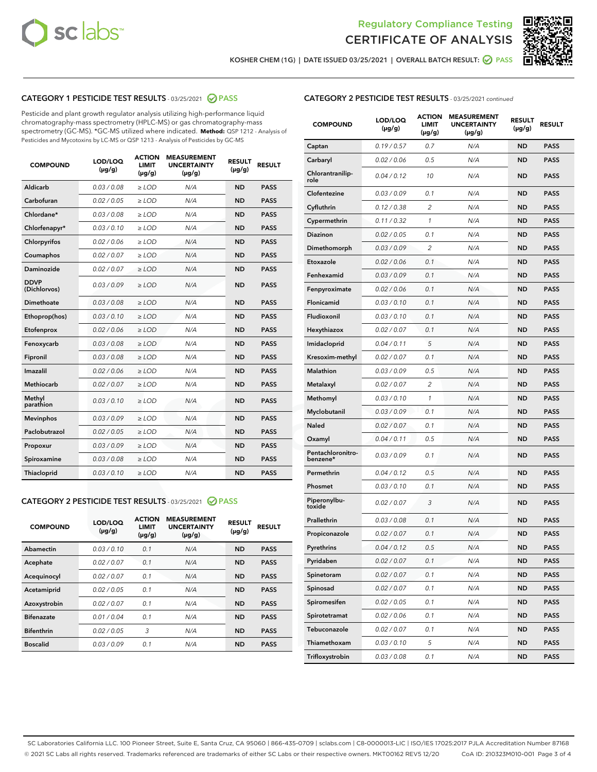



KOSHER CHEM (1G) | DATE ISSUED 03/25/2021 | OVERALL BATCH RESULT:  $\bigcirc$  PASS

### CATEGORY 1 PESTICIDE TEST RESULTS - 03/25/2021 2 PASS

Pesticide and plant growth regulator analysis utilizing high-performance liquid chromatography-mass spectrometry (HPLC-MS) or gas chromatography-mass spectrometry (GC-MS). \*GC-MS utilized where indicated. **Method:** QSP 1212 - Analysis of Pesticides and Mycotoxins by LC-MS or QSP 1213 - Analysis of Pesticides by GC-MS

| <b>COMPOUND</b>             | LOD/LOQ<br>$(\mu g/g)$ | <b>ACTION</b><br><b>LIMIT</b><br>$(\mu g/g)$ | <b>MEASUREMENT</b><br><b>UNCERTAINTY</b><br>$(\mu g/g)$ | <b>RESULT</b><br>$(\mu g/g)$ | <b>RESULT</b> |
|-----------------------------|------------------------|----------------------------------------------|---------------------------------------------------------|------------------------------|---------------|
| Aldicarb                    | 0.03 / 0.08            | $\ge$ LOD                                    | N/A                                                     | <b>ND</b>                    | <b>PASS</b>   |
| Carbofuran                  | 0.02/0.05              | $>$ LOD                                      | N/A                                                     | <b>ND</b>                    | <b>PASS</b>   |
| Chlordane*                  | 0.03 / 0.08            | $\ge$ LOD                                    | N/A                                                     | <b>ND</b>                    | <b>PASS</b>   |
| Chlorfenapyr*               | 0.03/0.10              | $\ge$ LOD                                    | N/A                                                     | <b>ND</b>                    | <b>PASS</b>   |
| Chlorpyrifos                | 0.02 / 0.06            | $\ge$ LOD                                    | N/A                                                     | <b>ND</b>                    | <b>PASS</b>   |
| Coumaphos                   | 0.02/0.07              | $>$ LOD                                      | N/A                                                     | <b>ND</b>                    | <b>PASS</b>   |
| <b>Daminozide</b>           | 0.02 / 0.07            | $\ge$ LOD                                    | N/A                                                     | <b>ND</b>                    | <b>PASS</b>   |
| <b>DDVP</b><br>(Dichlorvos) | 0.03/0.09              | $\ge$ LOD                                    | N/A                                                     | <b>ND</b>                    | <b>PASS</b>   |
| <b>Dimethoate</b>           | 0.03/0.08              | $\ge$ LOD                                    | N/A                                                     | <b>ND</b>                    | <b>PASS</b>   |
| Ethoprop(hos)               | 0.03/0.10              | $\ge$ LOD                                    | N/A                                                     | <b>ND</b>                    | <b>PASS</b>   |
| Etofenprox                  | 0.02 / 0.06            | $>$ LOD                                      | N/A                                                     | <b>ND</b>                    | <b>PASS</b>   |
| Fenoxycarb                  | 0.03/0.08              | $\ge$ LOD                                    | N/A                                                     | <b>ND</b>                    | <b>PASS</b>   |
| Fipronil                    | 0.03/0.08              | $>$ LOD                                      | N/A                                                     | <b>ND</b>                    | <b>PASS</b>   |
| Imazalil                    | 0.02 / 0.06            | $\ge$ LOD                                    | N/A                                                     | <b>ND</b>                    | <b>PASS</b>   |
| Methiocarb                  | 0.02 / 0.07            | $\ge$ LOD                                    | N/A                                                     | <b>ND</b>                    | <b>PASS</b>   |
| Methyl<br>parathion         | 0.03/0.10              | $>$ LOD                                      | N/A                                                     | <b>ND</b>                    | <b>PASS</b>   |
| <b>Mevinphos</b>            | 0.03/0.09              | $>$ LOD                                      | N/A                                                     | <b>ND</b>                    | <b>PASS</b>   |
| Paclobutrazol               | 0.02 / 0.05            | $\ge$ LOD                                    | N/A                                                     | <b>ND</b>                    | <b>PASS</b>   |
| Propoxur                    | 0.03/0.09              | $>$ LOD                                      | N/A                                                     | <b>ND</b>                    | <b>PASS</b>   |
| Spiroxamine                 | 0.03 / 0.08            | $\ge$ LOD                                    | N/A                                                     | <b>ND</b>                    | <b>PASS</b>   |
| Thiacloprid                 | 0.03/0.10              | $\ge$ LOD                                    | N/A                                                     | <b>ND</b>                    | <b>PASS</b>   |

#### CATEGORY 2 PESTICIDE TEST RESULTS - 03/25/2021 @ PASS

| <b>COMPOUND</b>   | LOD/LOQ<br>$(\mu g/g)$ | <b>ACTION</b><br><b>LIMIT</b><br>$(\mu g/g)$ | <b>MEASUREMENT</b><br><b>UNCERTAINTY</b><br>$(\mu g/g)$ | <b>RESULT</b><br>$(\mu g/g)$ | <b>RESULT</b> |
|-------------------|------------------------|----------------------------------------------|---------------------------------------------------------|------------------------------|---------------|
| Abamectin         | 0.03/0.10              | 0.1                                          | N/A                                                     | <b>ND</b>                    | <b>PASS</b>   |
| Acephate          | 0.02/0.07              | 0.1                                          | N/A                                                     | <b>ND</b>                    | <b>PASS</b>   |
| Acequinocyl       | 0.02/0.07              | 0.1                                          | N/A                                                     | <b>ND</b>                    | <b>PASS</b>   |
| Acetamiprid       | 0.02/0.05              | 0.1                                          | N/A                                                     | <b>ND</b>                    | <b>PASS</b>   |
| Azoxystrobin      | 0.02/0.07              | 0.1                                          | N/A                                                     | <b>ND</b>                    | <b>PASS</b>   |
| <b>Bifenazate</b> | 0.01/0.04              | 0.1                                          | N/A                                                     | <b>ND</b>                    | <b>PASS</b>   |
| <b>Bifenthrin</b> | 0.02/0.05              | 3                                            | N/A                                                     | <b>ND</b>                    | <b>PASS</b>   |
| <b>Boscalid</b>   | 0.03/0.09              | 0.1                                          | N/A                                                     | <b>ND</b>                    | <b>PASS</b>   |

| <b>CATEGORY 2 PESTICIDE TEST RESULTS</b> - 03/25/2021 continued |
|-----------------------------------------------------------------|
|-----------------------------------------------------------------|

| <b>COMPOUND</b>               | LOD/LOQ<br>$(\mu g/g)$ | <b>ACTION</b><br>LIMIT<br>$(\mu g/g)$ | <b>MEASUREMENT</b><br><b>UNCERTAINTY</b><br>(µg/g) | <b>RESULT</b><br>(µg/g) | <b>RESULT</b> |
|-------------------------------|------------------------|---------------------------------------|----------------------------------------------------|-------------------------|---------------|
| Captan                        | 0.19/0.57              | 0.7                                   | N/A                                                | <b>ND</b>               | <b>PASS</b>   |
| Carbaryl                      | 0.02 / 0.06            | 0.5                                   | N/A                                                | ND                      | <b>PASS</b>   |
| Chlorantranilip-<br>role      | 0.04/0.12              | 10                                    | N/A                                                | ND                      | <b>PASS</b>   |
| Clofentezine                  | 0.03 / 0.09            | 0.1                                   | N/A                                                | ND                      | <b>PASS</b>   |
| Cyfluthrin                    | 0.12 / 0.38            | 2                                     | N/A                                                | ND                      | <b>PASS</b>   |
| Cypermethrin                  | 0.11 / 0.32            | 1                                     | N/A                                                | ND                      | <b>PASS</b>   |
| <b>Diazinon</b>               | 0.02 / 0.05            | 0.1                                   | N/A                                                | ND                      | <b>PASS</b>   |
| Dimethomorph                  | 0.03 / 0.09            | 2                                     | N/A                                                | ND                      | <b>PASS</b>   |
| Etoxazole                     | 0.02 / 0.06            | 0.1                                   | N/A                                                | ND                      | <b>PASS</b>   |
| Fenhexamid                    | 0.03 / 0.09            | 0.1                                   | N/A                                                | ND                      | <b>PASS</b>   |
| Fenpyroximate                 | 0.02 / 0.06            | 0.1                                   | N/A                                                | ND                      | <b>PASS</b>   |
| Flonicamid                    | 0.03 / 0.10            | 0.1                                   | N/A                                                | ND                      | <b>PASS</b>   |
| Fludioxonil                   | 0.03/0.10              | 0.1                                   | N/A                                                | ND                      | <b>PASS</b>   |
| Hexythiazox                   | 0.02 / 0.07            | 0.1                                   | N/A                                                | ND                      | <b>PASS</b>   |
| Imidacloprid                  | 0.04/0.11              | 5                                     | N/A                                                | ND                      | <b>PASS</b>   |
| Kresoxim-methyl               | 0.02 / 0.07            | 0.1                                   | N/A                                                | ND                      | <b>PASS</b>   |
| <b>Malathion</b>              | 0.03 / 0.09            | 0.5                                   | N/A                                                | ND                      | <b>PASS</b>   |
| Metalaxyl                     | 0.02 / 0.07            | 2                                     | N/A                                                | ND                      | <b>PASS</b>   |
| Methomyl                      | 0.03 / 0.10            | 1                                     | N/A                                                | ND                      | <b>PASS</b>   |
| Myclobutanil                  | 0.03 / 0.09            | 0.1                                   | N/A                                                | ND                      | <b>PASS</b>   |
| <b>Naled</b>                  | 0.02 / 0.07            | 0.1                                   | N/A                                                | ND                      | <b>PASS</b>   |
| Oxamyl                        | 0.04 / 0.11            | 0.5                                   | N/A                                                | ND                      | <b>PASS</b>   |
| Pentachloronitro-<br>benzene* | 0.03 / 0.09            | 0.1                                   | N/A                                                | ND                      | <b>PASS</b>   |
| Permethrin                    | 0.04 / 0.12            | 0.5                                   | N/A                                                | ND                      | <b>PASS</b>   |
| Phosmet                       | 0.03 / 0.10            | 0.1                                   | N/A                                                | ND                      | <b>PASS</b>   |
| Piperonylbu-<br>toxide        | 0.02 / 0.07            | 3                                     | N/A                                                | ND                      | <b>PASS</b>   |
| Prallethrin                   | 0.03 / 0.08            | 0.1                                   | N/A                                                | ND                      | <b>PASS</b>   |
| Propiconazole                 | 0.02 / 0.07            | 0.1                                   | N/A                                                | ND                      | <b>PASS</b>   |
| Pyrethrins                    | 0.04 / 0.12            | 0.5                                   | N/A                                                | ND                      | PASS          |
| Pyridaben                     | 0.02 / 0.07            | 0.1                                   | N/A                                                | ND                      | <b>PASS</b>   |
| Spinetoram                    | 0.02 / 0.07            | 0.1                                   | N/A                                                | <b>ND</b>               | <b>PASS</b>   |
| Spinosad                      | 0.02 / 0.07            | 0.1                                   | N/A                                                | ND                      | <b>PASS</b>   |
| Spiromesifen                  | 0.02 / 0.05            | 0.1                                   | N/A                                                | ND                      | <b>PASS</b>   |
| Spirotetramat                 | 0.02 / 0.06            | 0.1                                   | N/A                                                | ND                      | <b>PASS</b>   |
| Tebuconazole                  | 0.02 / 0.07            | 0.1                                   | N/A                                                | ND                      | <b>PASS</b>   |
| Thiamethoxam                  | 0.03 / 0.10            | 5                                     | N/A                                                | ND                      | <b>PASS</b>   |
| Trifloxystrobin               | 0.03 / 0.08            | 0.1                                   | N/A                                                | ND                      | <b>PASS</b>   |

SC Laboratories California LLC. 100 Pioneer Street, Suite E, Santa Cruz, CA 95060 | 866-435-0709 | sclabs.com | C8-0000013-LIC | ISO/IES 17025:2017 PJLA Accreditation Number 87168 © 2021 SC Labs all rights reserved. Trademarks referenced are trademarks of either SC Labs or their respective owners. MKT00162 REV5 12/20 CoA ID: 210323M010-001 Page 3 of 4